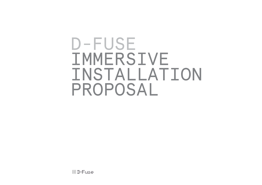# D-FUSE **IMMERSIVE** INSTALLATION PROPOSAL

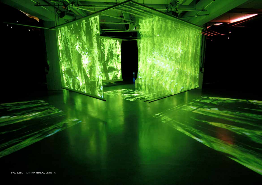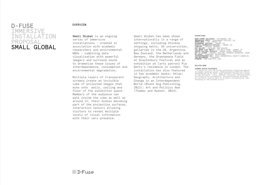## D-FUSE OVERVIEW TMMERSTVE INSTALLATION PROPOSAL SMALL GLOBAL

Small Global is an ongoing series of immersive installations – created in association with academic researchers and environmental NGOs – combining data visualisation with powerful imagery and surround sound to dramatise these issues of interdependence, consumption and environmental degradation.

Multiple layers of transparent screens create an invisible cube of projected images that echo onto walls, ceiling and floor of the exhibition space. Members of the audience can walk inside the cube as well as around it, their bodies becoming part of the projection surfaces, interaction sensors allowing visitors to reveal multiple levels of visual information with their very presence.

Small Global has been shown internationally in a range of settings, including Chinese shopping malls, UK universities, galleries in the US, Argentina, New Zealand, the Netherlands and Germany, the Greenpeace Field at Glastonbury Festival and an exhibition at [arts patron] Pia Getty's residence in London. The installation has also featured in two academic books: Atlas: Geography, Architecture and Change in an Interdependent World (Black Dog Publishing, 2012); Art and Politics Now (Thames and Hudson, 2014).

#### EXHIBITIONS:

WOOD STREET GALLERIES - PITTSBURGH. USA. **GREENPEACE FIELD** - GLASTONBURY FESTIVAL. UK.<br>**GREEN WEEK** - LCC. LONDON. UK.<br>**BLOOMSBURY FESTIVAL** - LONDON. UK. DIGITAL SHOREDITCH FESTIVAL - LONDON. UK.<br>CYNETART - DRESDEN. GERMANY.<br>DIC GALLERY - AUCKLAND. NEW ZEALAND.<br>DIE GREEN LIVE PRETTY - PIA GETTY SHOW - LONDON. UK.<br>CENTRO CULTURAL RECOLETA - BUENOS AIRES. ARGENTINA.<br>GET IT LO EYEBEAM - NEW YORK CITY. USA.

#### RELATED WORK

CARBON CRISIS BLIPVERTS<br>- A series of five 40 second animations exploring aspects - A series of five 40 second animations exploring aspects<br>of global warming issues. Commissioned by SOS/Live Earth<br>and endorsed by Al Gore, each blipvert focuses on a cause<br>of CO2 emissions - Cars, Rubbish, Aviation, Defor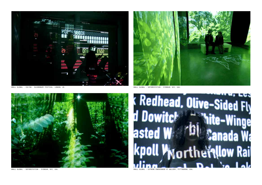

SMALL GLOBAL - COLTAN - BLOOMSBURY FESTIVAL, LONDON, UK.



**hite-Winge** 

**Canada Wa** 

SMALL GLOBAL - DEFORESTATION - EYEBEAM, NYC, USA.



SMALL GLOBAL - DEFORESTATION - EYEBEAM, NYC, USA.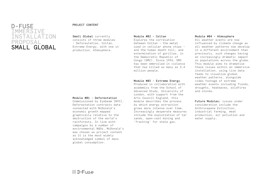## $D$ -FUSE **IMMERSIVE** INSTALLATION PROPOSAL SMALL GLOBAL

#### PROJECT CONTENT

Small Global currently consists of three modules - Deforestation, Coltan, Extreme Energy, with one in production, Atmosphere.

#### Module #02 – Coltan

Explores the correlation between Coltan – the metal used in cellular phone chips – and the human death toll, and extermination of gorillas, in the Democratic Republic of Congo (DRC). Since 1996, DRC has been embroiled in violence that has killed as many as 5.4 million people.

#### Module #03 - Extreme Energy

Produced in collaboration with academics from the School of Advanced Study, University of London, with support from the Arts Council England, this module describes the process by which energy extraction grows more intense over time. Increasingly desperate measures include the exploitation of tar sands, open-cast mining and 'fracking' for shale gas.

#### Module #04 – Atmosphere

All weather events are now influenced by climate change as all weather patterns now develop in a different environment than previously, such changes having an increasingly dramatic impact on populations across the globe. This module aims to dramatise these issues within an immersive installation, using live data feeds to visualise global weather patterns, alongside video footage of extreme weather events including floods, droughts, heatwaves, wildfires and storms.

Future Modules: issues under consideration include the Anthrocepene Extinction, industrial farming, meat production, air pollution and water supply.

#### Module #01 - Deforestation

Commissioned by Eyebeam [NYC], Deforestation contrasts data connected with McDonald's economic growth mapped graphically relative to the destruction of the world's rainforests. In line with campaigns by a number of environmental NGOs, McDonald's was chosen as project content as it is the most widely acknowledged symbol of mass global consumption.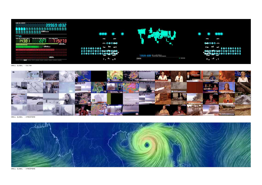

SMALL GLOBAL - COLTAN



SMALL GLOBAL - ATMOSPHERE



SMALL GLOBAL - ATMOSPHERE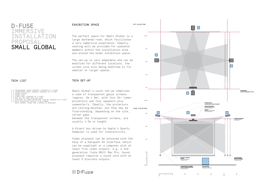# D-FUSE **TMMERSTVF** INSTALLATION PROPOSAL SMALL GLOBAL

### TFCH LIST

- 3 X TRANSPARENT GAUZE SCREENS.(SOURCED BY D-FUSE) 3 X TRANSPARENT MESH SCREENS.(SOURCED BY D-FUSE)
- 
- 
- 1 X SOUND SYSTEM.<br>1 X SOUND CARD.<br>1 X KINECT BOX.(SOURCED BY D-FUSE)<br>1 X MAC PRO OR HIGH-SPEC MAC MINI.
- 
- 1 X DATAPATH X4 VIDEO PROCESSOR.(CAN BE SOURCED BY D-FUSE)<br>4 X DATA PROJECTORS IDEALLY 6-8K LUMENS.<br>- MESH SCREEN, CABLE AND FIXINGS AS REQUIRED.

#### EXHIBITION SPACE

The perfect space for Small Global is a large darkened room, which facilitates a very immersive experience. Ideally, seating will be provided for audience members within the installation area and around the wider exhibition space.

The set-up is very adaptable and can be modified for different locations, the screen size also being modified to fit smaller or larger spaces.

## TECH SET-UP

Small Global's usual set-up comprises a cube of transparent gauze screens (approx. 5m x 5m), with four 5k+ lumen projectors and four speakers plus subwoofer/s. Ideally, the projectors are ceiling-mounted, but they may be floorstanding. Depending on the site, corner gaps,

between the transparent screens, are usually 1-3m in length.

A Kinect box driven by Apple's Quartz Composer is used for interactivity.

Video playback can be achieved with the help of a Datapath X4 interface (which can be supplied) or a computer with at least five video outputs, e.g. a 2ndgeneration (late-2013) Mac Pro. Sound playback requires a sound card with at least 5 discrete outputs.



## 開D-Fuse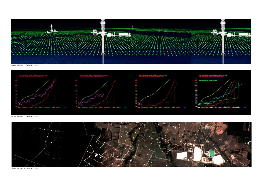

SMALL GLOBAL - EXTREME ENERGY



SMALL GLOBAL - EXTREME ENERGY



SMALL GLOBAL - EXTREME ENERGY